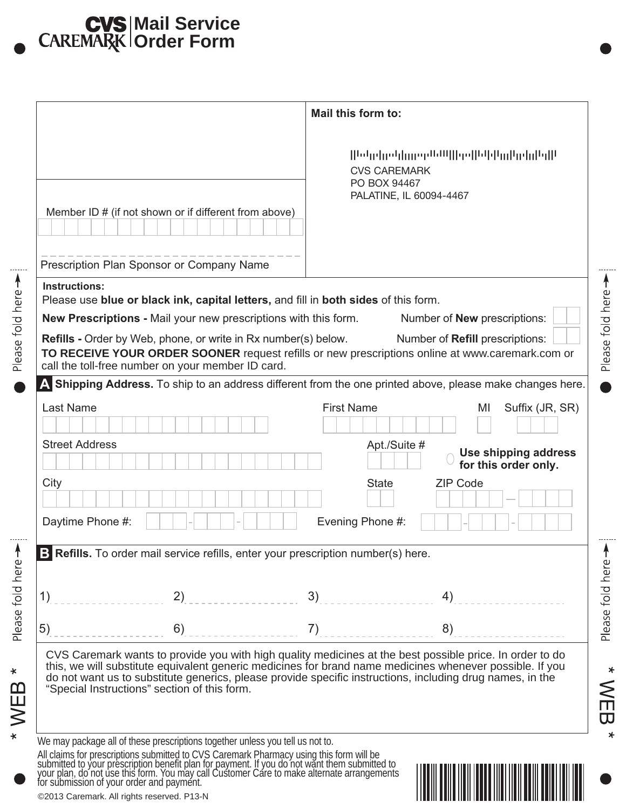## **Mail Service Order Form**

Please fold here >

Please fold here -

 $* WEB *$ 

|                                                                                                                                                                                                                                |                                                                                                                                                                                                                                                                                                                                   | Mail this form to:                                             |                                                                                                           |
|--------------------------------------------------------------------------------------------------------------------------------------------------------------------------------------------------------------------------------|-----------------------------------------------------------------------------------------------------------------------------------------------------------------------------------------------------------------------------------------------------------------------------------------------------------------------------------|----------------------------------------------------------------|-----------------------------------------------------------------------------------------------------------|
|                                                                                                                                                                                                                                |                                                                                                                                                                                                                                                                                                                                   | <b>CVS CAREMARK</b><br>PO BOX 94467<br>PALATINE, IL 60094-4467 | Եժրիբեկտերության  իրգ  Եկժիկտ  դեկվեց  Լ                                                                  |
| Member ID # (if not shown or if different from above)                                                                                                                                                                          |                                                                                                                                                                                                                                                                                                                                   |                                                                |                                                                                                           |
| Prescription Plan Sponsor or Company Name                                                                                                                                                                                      |                                                                                                                                                                                                                                                                                                                                   |                                                                |                                                                                                           |
| <b>Instructions:</b><br>Please use blue or black ink, capital letters, and fill in both sides of this form.                                                                                                                    |                                                                                                                                                                                                                                                                                                                                   |                                                                |                                                                                                           |
| New Prescriptions - Mail your new prescriptions with this form.                                                                                                                                                                |                                                                                                                                                                                                                                                                                                                                   |                                                                | Number of <b>New</b> prescriptions:                                                                       |
| <b>Refills -</b> Order by Web, phone, or write in Rx number(s) below.<br>TO RECEIVE YOUR ORDER SOONER request refills or new prescriptions online at www.caremark.com or<br>call the toll-free number on your member ID card.  |                                                                                                                                                                                                                                                                                                                                   |                                                                | Number of Refill prescriptions:                                                                           |
|                                                                                                                                                                                                                                |                                                                                                                                                                                                                                                                                                                                   |                                                                | A Shipping Address. To ship to an address different from the one printed above, please make changes here. |
| Last Name                                                                                                                                                                                                                      |                                                                                                                                                                                                                                                                                                                                   | <b>First Name</b>                                              | Suffix (JR, SR)<br>MI                                                                                     |
|                                                                                                                                                                                                                                |                                                                                                                                                                                                                                                                                                                                   |                                                                |                                                                                                           |
| <b>Street Address</b>                                                                                                                                                                                                          |                                                                                                                                                                                                                                                                                                                                   | Apt./Suite #                                                   | Use shipping address<br>for this order only.                                                              |
| City                                                                                                                                                                                                                           |                                                                                                                                                                                                                                                                                                                                   | <b>State</b>                                                   | <b>ZIP Code</b>                                                                                           |
| Daytime Phone #:                                                                                                                                                                                                               |                                                                                                                                                                                                                                                                                                                                   | Evening Phone #:                                               |                                                                                                           |
| B Refills. To order mail service refills, enter your prescription number(s) here.                                                                                                                                              |                                                                                                                                                                                                                                                                                                                                   |                                                                |                                                                                                           |
| 1)<br>2)                                                                                                                                                                                                                       | 3)                                                                                                                                                                                                                                                                                                                                |                                                                | 4)                                                                                                        |
| 6)<br>5)                                                                                                                                                                                                                       | 7)                                                                                                                                                                                                                                                                                                                                |                                                                | 8)                                                                                                        |
| "Special Instructions" section of this form.                                                                                                                                                                                   | CVS Caremark wants to provide you with high quality medicines at the best possible price. In order to do<br>this, we will substitute equivalent generic medicines for brand name medicines whenever possible. If you<br>do not want us to substitute generics, please provide specific instructions, including drug names, in the |                                                                |                                                                                                           |
| We may package all of these prescriptions together unless you tell us not to.                                                                                                                                                  |                                                                                                                                                                                                                                                                                                                                   |                                                                |                                                                                                           |
| All claims for prescriptions submitted to CVS Caremark Pharmacy using this form will be submitted to your prescription benefit plan for payment. If you do not want them submitted to your plan, do not use this form. You may |                                                                                                                                                                                                                                                                                                                                   |                                                                |                                                                                                           |
|                                                                                                                                                                                                                                |                                                                                                                                                                                                                                                                                                                                   |                                                                |                                                                                                           |